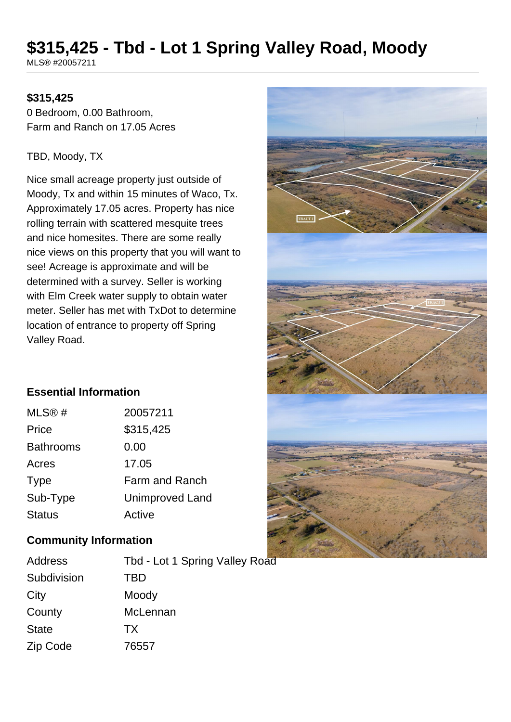# **\$315,425 - Tbd - Lot 1 Spring Valley Road, Moody**

MLS® #20057211

# **\$315,425**

0 Bedroom, 0.00 Bathroom, Farm and Ranch on 17.05 Acres

#### TBD, Moody, TX

Nice small acreage property just outside of Moody, Tx and within 15 minutes of Waco, Tx. Approximately 17.05 acres. Property has nice rolling terrain with scattered mesquite trees and nice homesites. There are some really nice views on this property that you will want to see! Acreage is approximate and will be determined with a survey. Seller is working with Elm Creek water supply to obtain water meter. Seller has met with TxDot to determine location of entrance to property off Spring Valley Road.



# **Essential Information**

| MLS <sup>®</sup> # | 20057211               |
|--------------------|------------------------|
| Price              | \$315,425              |
| <b>Bathrooms</b>   | 0.00                   |
| Acres              | 17.05                  |
| <b>Type</b>        | <b>Farm and Ranch</b>  |
| Sub-Type           | <b>Unimproved Land</b> |
| <b>Status</b>      | Active                 |

# **Community Information**

| Address      | Tbd - Lot 1 Spring Valley Road |
|--------------|--------------------------------|
| Subdivision  | TBD                            |
| City         | Moody                          |
| County       | McLennan                       |
| <b>State</b> | TX.                            |
| Zip Code     | 76557                          |